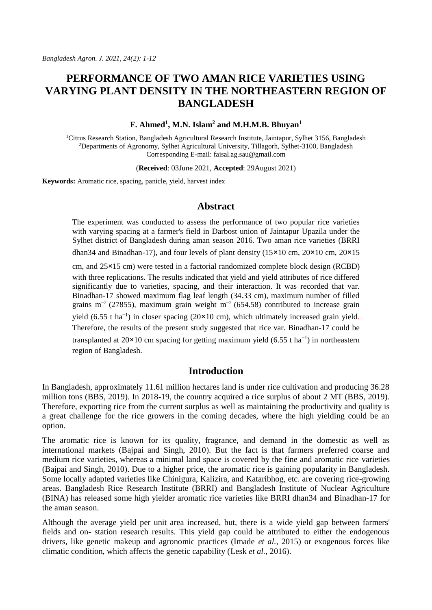# **PERFORMANCE OF TWO AMAN RICE VARIETIES USING VARYING PLANT DENSITY IN THE NORTHEASTERN REGION OF BANGLADESH**

#### **F. Ahmed<sup>1</sup> , M.N. Islam<sup>2</sup> and M.H.M.B. Bhuyan<sup>1</sup>**

<sup>1</sup>Citrus Research Station, Bangladesh Agricultural Research Institute, Jaintapur, Sylhet 3156, Bangladesh <sup>2</sup>Departments of Agronomy, Sylhet Agricultural University, Tillagorh, Sylhet-3100, Bangladesh Corresponding E-mail: faisal.ag.sau@gmail.com

(**Received**: 03June 2021, **Accepted**: 29August 2021)

**Keywords:** Aromatic rice, spacing, panicle, yield, harvest index

### **Abstract**

The experiment was conducted to assess the performance of two popular rice varieties with varying spacing at a farmer's field in Darbost union of Jaintapur Upazila under the Sylhet district of Bangladesh during aman season 2016. Two aman rice varieties (BRRI

dhan34 and Binadhan-17), and four levels of plant density (15×10 cm, 20×10 cm, 20×15

cm, and 25×15 cm) were tested in a factorial randomized complete block design (RCBD) with three replications. The results indicated that yield and yield attributes of rice differed significantly due to varieties, spacing, and their interaction. It was recorded that var. Binadhan-17 showed maximum flag leaf length (34.33 cm), maximum number of filled grains m<sup>-2</sup> (27855), maximum grain weight m<sup>-2</sup> (654.58) contributed to increase grain yield (6.55 t ha<sup>-1</sup>) in closer spacing (20×10 cm), which ultimately increased grain yield. Therefore, the results of the present study suggested that rice var. Binadhan-17 could be transplanted at  $20 \times 10$  cm spacing for getting maximum yield (6.55 t ha<sup>-1</sup>) in northeastern region of Bangladesh.

# **Introduction**

In Bangladesh, approximately 11.61 million hectares land is under rice cultivation and producing 36.28 million tons (BBS, 2019). In 2018-19, the country acquired a rice surplus of about 2 MT (BBS, 2019). Therefore, exporting rice from the current surplus as well as maintaining the productivity and quality is a great challenge for the rice growers in the coming decades, where the high yielding could be an option.

The aromatic rice is known for its quality, fragrance, and demand in the domestic as well as international markets (Bajpai and Singh, 2010). But the fact is that farmers preferred coarse and medium rice varieties, whereas a minimal land space is covered by the fine and aromatic rice varieties (Bajpai and Singh, 2010). Due to a higher price, the aromatic rice is gaining popularity in Bangladesh. Some locally adapted varieties like Chinigura, Kalizira, and Kataribhog, etc. are covering rice-growing areas. Bangladesh Rice Research Institute (BRRI) and Bangladesh Institute of Nuclear Agriculture (BINA) has released some high yielder aromatic rice varieties like BRRI dhan34 and Binadhan-17 for the aman season.

Although the average yield per unit area increased, but, there is a wide yield gap between farmers' fields and on- station research results. This yield gap could be attributed to either the endogenous drivers, like genetic makeup and agronomic practices (Imade *et al.,* 2015) or exogenous forces like climatic condition, which affects the genetic capability (Lesk *et al.,* 2016).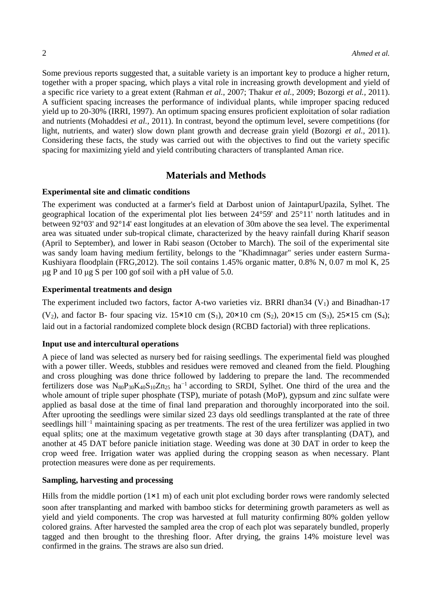Some previous reports suggested that, a suitable variety is an important key to produce a higher return, together with a proper spacing, which plays a vital role in increasing growth development and yield of a specific rice variety to a great extent (Rahman *et al.,* 2007; Thakur *et al.,* 2009; Bozorgi *et al.,* 2011). A sufficient spacing increases the performance of individual plants, while improper spacing reduced yield up to 20-30% (IRRI, 1997). An optimum spacing ensures proficient exploitation of solar radiation and nutrients (Mohaddesi *et al.,* 2011). In contrast, beyond the optimum level, severe competitions (for light, nutrients, and water) slow down plant growth and decrease grain yield (Bozorgi *et al.,* 2011). Considering these facts, the study was carried out with the objectives to find out the variety specific spacing for maximizing yield and yield contributing characters of transplanted Aman rice.

# **Materials and Methods**

#### **Experimental site and climatic conditions**

The experiment was conducted at a farmer's field at Darbost union of JaintapurUpazila, Sylhet. The geographical location of the experimental plot lies between 24°59' and 25°11' north latitudes and in between 92°03' and 92°14' east longitudes at an elevation of 30m above the sea level. The experimental area was situated under sub-tropical climate, characterized by the heavy rainfall during Kharif season (April to September), and lower in Rabi season (October to March). The soil of the experimental site was sandy loam having medium fertility, belongs to the "Khadimnagar" series under eastern Surma-Kushiyara floodplain (FRG,2012). The soil contains 1.45% organic matter, 0.8% N, 0.07 m mol K, 25 μg P and 10 μg S per 100 gof soil with a pH value of 5.0.

#### **Experimental treatments and design**

The experiment included two factors, factor A-two varieties viz. BRRI dhan34  $(V<sub>1</sub>)$  and Binadhan-17 (V<sub>2</sub>), and factor B- four spacing viz.  $15\times10$  cm (S<sub>1</sub>),  $20\times10$  cm (S<sub>2</sub>),  $20\times15$  cm (S<sub>3</sub>),  $25\times15$  cm (S<sub>4</sub>); laid out in a factorial randomized complete block design (RCBD factorial) with three replications.

#### **Input use and intercultural operations**

A piece of land was selected as nursery bed for raising seedlings. The experimental field was ploughed with a power tiller. Weeds, stubbles and residues were removed and cleaned from the field. Ploughing and cross ploughing was done thrice followed by laddering to prepare the land. The recommended fertilizers dose was N<sub>80</sub>P<sub>30</sub>K<sub>40</sub>S<sub>10</sub>Zn<sub>25</sub> ha<sup>−1</sup> according to SRDI, Sylhet. One third of the urea and the whole amount of triple super phosphate (TSP), muriate of potash (MoP), gypsum and zinc sulfate were applied as basal dose at the time of final land preparation and thoroughly incorporated into the soil. After uprooting the seedlings were similar sized 23 days old seedlings transplanted at the rate of three seedlings hill<sup>-1</sup> maintaining spacing as per treatments. The rest of the urea fertilizer was applied in two equal splits; one at the maximum vegetative growth stage at 30 days after transplanting (DAT), and another at 45 DAT before panicle initiation stage. Weeding was done at 30 DAT in order to keep the crop weed free. Irrigation water was applied during the cropping season as when necessary. Plant protection measures were done as per requirements.

### **Sampling, harvesting and processing**

Hills from the middle portion  $(1 \times 1 \text{ m})$  of each unit plot excluding border rows were randomly selected soon after transplanting and marked with bamboo sticks for determining growth parameters as well as yield and yield components. The crop was harvested at full maturity confirming 80% golden yellow colored grains. After harvested the sampled area the crop of each plot was separately bundled, properly tagged and then brought to the threshing floor. After drying, the grains 14% moisture level was confirmed in the grains. The straws are also sun dried.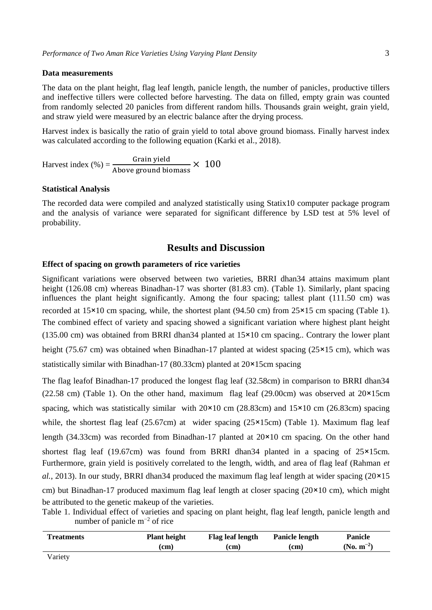#### **Data measurements**

The data on the plant height, flag leaf length, panicle length, the number of panicles, productive tillers and ineffective tillers were collected before harvesting. The data on filled, empty grain was counted from randomly selected 20 panicles from different random hills. Thousands grain weight, grain yield, and straw yield were measured by an electric balance after the drying process.

Harvest index is basically the ratio of grain yield to total above ground biomass. Finally harvest index was calculated according to the following equation (Karki et al., 2018).

Harvest index  $(\%) = \frac{G \cdot \text{Gain yield}}{A \cdot \text{base} + A \cdot \text{height}}$  $\frac{100 \text{ m}}{4 \text{ above ground biomass}} \times 100$ 

#### **Statistical Analysis**

The recorded data were compiled and analyzed statistically using Statix10 computer package program and the analysis of variance were separated for significant difference by LSD test at 5% level of probability.

## **Results and Discussion**

#### **Effect of spacing on growth parameters of rice varieties**

Significant variations were observed between two varieties, BRRI dhan34 attains maximum plant height (126.08 cm) whereas Binadhan-17 was shorter (81.83 cm). (Table 1). Similarly, plant spacing influences the plant height significantly. Among the four spacing; tallest plant (111.50 cm) was recorded at 15×10 cm spacing, while, the shortest plant (94.50 cm) from 25×15 cm spacing (Table 1). The combined effect of variety and spacing showed a significant variation where highest plant height (135.00 cm) was obtained from BRRI dhan34 planted at 15×10 cm spacing.. Contrary the lower plant height (75.67 cm) was obtained when Binadhan-17 planted at widest spacing (25×15 cm), which was statistically similar with Binadhan-17 (80.33cm) planted at 20×15cm spacing

The flag leafof Binadhan-17 produced the longest flag leaf (32.58cm) in comparison to BRRI dhan34 (22.58 cm) (Table 1). On the other hand, maximum flag leaf (29.00cm) was observed at  $20\times15$ cm spacing, which was statistically similar with  $20\times10$  cm  $(28.83cm)$  and  $15\times10$  cm  $(26.83cm)$  spacing while, the shortest flag leaf (25.67cm) at wider spacing ( $25 \times 15$ cm) (Table 1). Maximum flag leaf length (34.33cm) was recorded from Binadhan-17 planted at 20×10 cm spacing. On the other hand shortest flag leaf (19.67cm) was found from BRRI dhan34 planted in a spacing of 25×15cm. Furthermore, grain yield is positively correlated to the length, width, and area of flag leaf (Rahman *et al.*, 2013). In our study, BRRI dhan34 produced the maximum flag leaf length at wider spacing (20×15 cm) but Binadhan-17 produced maximum flag leaf length at closer spacing (20×10 cm), which might be attributed to the genetic makeup of the varieties.

Table 1. Individual effect of varieties and spacing on plant height, flag leaf length, panicle length and number of panicle m−2 of rice

| <b>Treatments</b> | <b>Plant height</b> | <b>Flag leaf length</b> | Panicle length | <b>Panicle</b>  |
|-------------------|---------------------|-------------------------|----------------|-----------------|
|                   | (cm)                | (cm)                    | (cm)           | $(N_0, m^{-2})$ |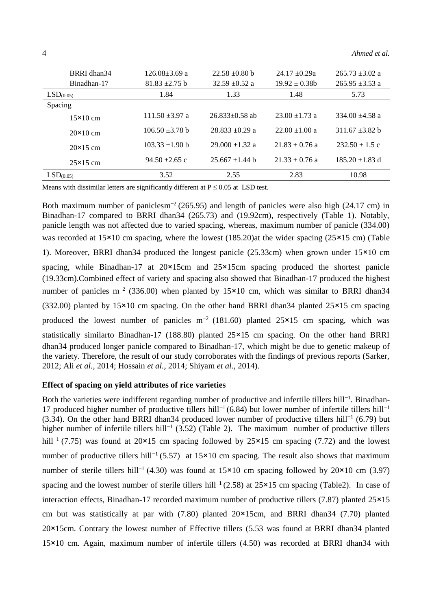| BRRI dhan34           | $126.08 + 3.69$ a | $22.58 + 0.80$ b  | $24.17 + 0.29a$  | $265.73 + 3.02$ a |
|-----------------------|-------------------|-------------------|------------------|-------------------|
| Binadhan-17           | $81.83 + 2.75$ b  | $32.59 + 0.52$ a  | $19.92 + 0.38h$  | $265.95 + 3.53$ a |
| LSD <sub>(0.05)</sub> | 1.84              | 1.33              | 1.48             | 5.73              |
| Spacing               |                   |                   |                  |                   |
| $15\times10$ cm       | $111.50 + 3.97$ a | $26.833+0.58$ ab  | $23.00 + 1.73$ a | $334.00 + 4.58$ a |
| $20\times10$ cm       | $106.50 + 3.78$ b | $28.833 + 0.29$ a | $22.00 + 1.00$ a | $311.67 + 3.82$ b |
| $20\times15$ cm       | $103.33 + 1.90$ b | $29.000 + 1.32$ a | $21.83 + 0.76$ a | $232.50 + 1.5c$   |
| $25\times15$ cm       | $94.50 + 2.65$ c  | $25.667 + 1.44$ b | $21.33 + 0.76$ a | $185.20 + 1.83$ d |
| LSD <sub>(0.05)</sub> | 3.52              | 2.55              | 2.83             | 10.98             |

Means with dissimilar letters are significantly different at  $P \le 0.05$  at LSD test.

Both maximum number of paniclesm<sup>-2</sup> (265.95) and length of panicles were also high (24.17 cm) in Binadhan-17 compared to BRRI dhan34 (265.73) and (19.92cm), respectively (Table 1). Notably, panicle length was not affected due to varied spacing, whereas, maximum number of panicle (334.00) was recorded at  $15\times10$  cm spacing, where the lowest (185.20) at the wider spacing (25 $\times15$  cm) (Table 1). Moreover, BRRI dhan34 produced the longest panicle (25.33cm) when grown under 15×10 cm spacing, while Binadhan-17 at  $20 \times 15$ cm and  $25 \times 15$ cm spacing produced the shortest panicle (19.33cm).Combined effect of variety and spacing also showed that Binadhan-17 produced the highest number of panicles m<sup>-2</sup> (336.00) when planted by 15×10 cm, which was similar to BRRI dhan34 (332.00) planted by 15×10 cm spacing. On the other hand BRRI dhan34 planted 25×15 cm spacing produced the lowest number of panicles m<sup>-2</sup> (181.60) planted 25×15 cm spacing, which was statistically similarto Binadhan-17 (188.80) planted 25×15 cm spacing. On the other hand BRRI dhan34 produced longer panicle compared to Binadhan-17, which might be due to genetic makeup of the variety. Therefore, the result of our study corroborates with the findings of previous reports (Sarker, 2012; Ali *et al.*, 2014; Hossain *et al.*, 2014; Shiyam *et al.*, 2014).

#### **Effect of spacing on yield attributes of rice varieties**

Both the varieties were indifferent regarding number of productive and infertile tillers hill−1 . Binadhan-17 produced higher number of productive tillers hill<sup>-1</sup> (6.84) but lower number of infertile tillers hill<sup>-1</sup> (3.34). On the other hand BRRI dhan34 produced lower number of productive tillers hill<sup>-1</sup> (6.79) but higher number of infertile tillers hill<sup>-1</sup> (3.52) (Table 2). The maximum number of productive tillers hill<sup>-1</sup> (7.75) was found at 20×15 cm spacing followed by 25×15 cm spacing (7.72) and the lowest number of productive tillers hill<sup>-1</sup> (5.57) at 15×10 cm spacing. The result also shows that maximum number of sterile tillers hill<sup>-1</sup> (4.30) was found at  $15\times10$  cm spacing followed by 20×10 cm (3.97) spacing and the lowest number of sterile tillers hill<sup>-1</sup> (2.58) at 25×15 cm spacing (Table2). In case of interaction effects, Binadhan-17 recorded maximum number of productive tillers (7.87) planted 25×15 cm but was statistically at par with  $(7.80)$  planted  $20\times15$ cm, and BRRI dhan34 (7.70) planted 20×15cm. Contrary the lowest number of Effective tillers (5.53 was found at BRRI dhan34 planted 15×10 cm. Again, maximum number of infertile tillers (4.50) was recorded at BRRI dhan34 with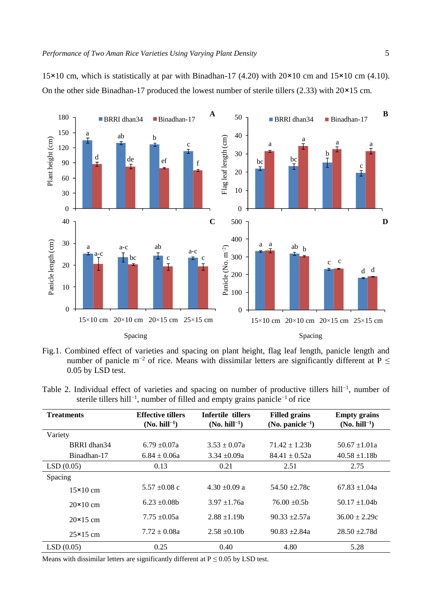15×10 cm, which is statistically at par with Binadhan-17 (4.20) with 20×10 cm and 15×10 cm (4.10). On the other side Binadhan-17 produced the lowest number of sterile tillers (2.33) with 20×15 cm.



Fig.1. Combined effect of varieties and spacing on plant height, flag leaf length, panicle length and number of panicle m<sup>-2</sup> of rice. Means with dissimilar letters are significantly different at P  $\leq$ 0.05 by LSD test.

Table 2. Individual effect of varieties and spacing on number of productive tillers hill<sup>-1</sup>, number of sterile tillers hill<sup>-1</sup>, number of filled and empty grains panicle<sup>-1</sup> of rice

| <b>Treatments</b> | <b>Effective tillers</b><br>$(No. hill^{-1})$ | Infertile tillers<br>$(No. hill^{-1})$ | <b>Filled grains</b><br>$(No. panicle-1)$ | <b>Empty grains</b><br>$(No. hill^{-1})$ |
|-------------------|-----------------------------------------------|----------------------------------------|-------------------------------------------|------------------------------------------|
| Variety           |                                               |                                        |                                           |                                          |
| BRRI dhan34       | $6.79 + 0.07a$                                | $3.53 + 0.07a$                         | $71.42 + 1.23h$                           | $50.67 + 1.01a$                          |
| Binadhan-17       | $6.84 + 0.06a$                                | $3.34 + 0.09a$                         | $84.41 + 0.52a$                           | $40.58 \pm 1.18b$                        |
| LSD(0.05)         | 0.13                                          | 0.21                                   | 2.51                                      | 2.75                                     |
| Spacing           |                                               |                                        |                                           |                                          |
| $15\times10$ cm   | $5.57 + 0.08$ c                               | $4.30 + 0.09$ a                        | $54.50 + 2.78c$                           | $67.83 + 1.04a$                          |
| $20 \times 10$ cm | $6.23 + 0.08b$                                | $3.97 + 1.76a$                         | $76.00 + 0.5h$                            | $50.17 + 1.04b$                          |
| $20 \times 15$ cm | $7.75 + 0.05a$                                | $2.88 + 1.19$ h                        | $90.33 + 2.57a$                           | $36.00 + 2.29c$                          |
| $25\times15$ cm   | $7.72 \pm 0.08a$                              | $2.58 + 0.10h$                         | $90.83 + 2.84a$                           | $28.50 + 2.78d$                          |
| LSD(0.05)         | 0.25                                          | 0.40                                   | 4.80                                      | 5.28                                     |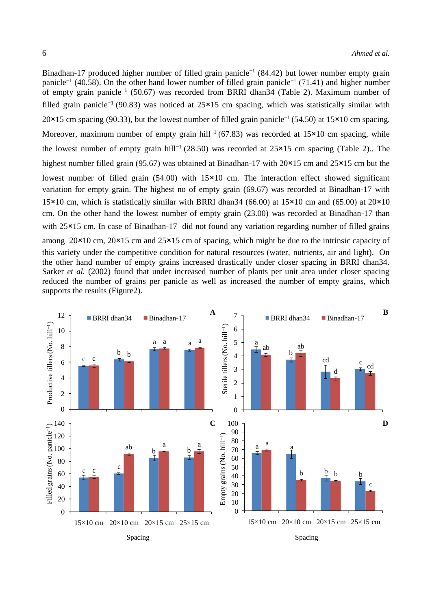Binadhan-17 produced higher number of filled grain panicle<sup>-1</sup> (84.42) but lower number empty grain panicle<sup>-1</sup> (40.58). On the other hand lower number of filled grain panicle<sup>-1</sup> (71.41) and higher number of empty grain panicle−1 (50.67) was recorded from BRRI dhan34 (Table 2). Maximum number of filled grain panicle−1 (90.83) was noticed at 25×15 cm spacing, which was statistically similar with 20×15 cm spacing (90.33), but the lowest number of filled grain panicle−1 (54.50) at 15×10 cm spacing. Moreover, maximum number of empty grain hill<sup>-1</sup> (67.83) was recorded at 15×10 cm spacing, while the lowest number of empty grain hill−1 (28.50) was recorded at 25×15 cm spacing (Table 2).. The highest number filled grain (95.67) was obtained at Binadhan-17 with 20×15 cm and 25×15 cm but the lowest number of filled grain (54.00) with 15×10 cm. The interaction effect showed significant variation for empty grain. The highest no of empty grain (69.67) was recorded at Binadhan-17 with 15×10 cm, which is statistically similar with BRRI dhan34 (66.00) at 15×10 cm and (65.00) at 20×10 cm. On the other hand the lowest number of empty grain (23.00) was recorded at Binadhan-17 than with 25×15 cm. In case of Binadhan-17 did not found any variation regarding number of filled grains among 20×10 cm, 20×15 cm and 25×15 cm of spacing, which might be due to the intrinsic capacity of this variety under the competitive condition for natural resources (water, nutrients, air and light). On the other hand number of empty grains increased drastically under closer spacing in BRRI dhan34. Sarker *et al.* (2002) found that under increased number of plants per unit area under closer spacing reduced the number of grains per panicle as well as increased the number of empty grains, which supports the results (Figure2).

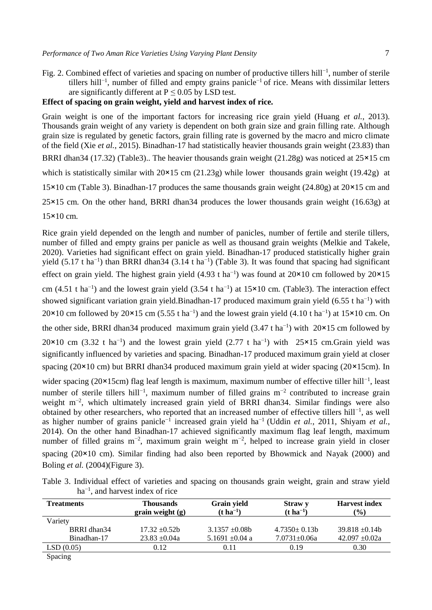Fig. 2. Combined effect of varieties and spacing on number of productive tillers hill−1 , number of sterile tillers hill−1 , number of filled and empty grains panicle−1 of rice. Means with dissimilar letters are significantly different at  $P \le 0.05$  by LSD test.

# **Effect of spacing on grain weight, yield and harvest index of rice***.*

Grain weight is one of the important factors for increasing rice grain yield (Huang *et al.*, 2013). Thousands grain weight of any variety is dependent on both grain size and grain filling rate. Although grain size is regulated by genetic factors, grain filling rate is governed by the macro and micro climate of the field (Xie *et al.*, 2015). Binadhan-17 had statistically heavier thousands grain weight (23.83) than BRRI dhan34 (17.32) (Table3).. The heavier thousands grain weight (21.28g) was noticed at  $25 \times 15$  cm which is statistically similar with  $20\times15$  cm  $(21.23g)$  while lower thousands grain weight (19.42g) at 15×10 cm (Table 3). Binadhan-17 produces the same thousands grain weight (24.80g) at 20×15 cm and 25×15 cm. On the other hand, BRRI dhan34 produces the lower thousands grain weight (16.63g) at 15×10 cm.

Rice grain yield depended on the length and number of panicles, number of fertile and sterile tillers, number of filled and empty grains per panicle as well as thousand grain weights (Melkie and Takele, 2020). Varieties had significant effect on grain yield. Binadhan-17 produced statistically higher grain yield (5.17 t ha<sup>-1</sup>) than BRRI dhan34 (3.14 t ha<sup>-1</sup>) (Table 3). It was found that spacing had significant effect on grain yield. The highest grain yield  $(4.93 \text{ t} \text{ ha}^{-1})$  was found at  $20 \times 10 \text{ cm}$  followed by  $20 \times 15$ cm (4.51 t ha<sup>-1</sup>) and the lowest grain yield (3.54 t ha<sup>-1</sup>) at 15×10 cm. (Table3). The interaction effect showed significant variation grain yield.Binadhan-17 produced maximum grain yield (6.55 t ha<sup>-1</sup>) with  $20 \times 10$  cm followed by  $20 \times 15$  cm (5.55 t ha<sup>-1</sup>) and the lowest grain yield (4.10 t ha<sup>-1</sup>) at  $15 \times 10$  cm. On the other side, BRRI dhan34 produced maximum grain yield  $(3.47 \text{ tha}^{-1})$  with 20×15 cm followed by 20×10 cm (3.32 t ha<sup>-1</sup>) and the lowest grain yield (2.77 t ha<sup>-1</sup>) with 25×15 cm.Grain yield was significantly influenced by varieties and spacing. Binadhan-17 produced maximum grain yield at closer spacing (20×10 cm) but BRRI dhan34 produced maximum grain yield at wider spacing (20×15cm). In

wider spacing (20×15cm) flag leaf length is maximum, maximum number of effective tiller hill<sup>-1</sup>, least number of sterile tillers hill<sup>-1</sup>, maximum number of filled grains m<sup>-2</sup> contributed to increase grain weight m−2 , which ultimately increased grain yield of BRRI dhan34. Similar findings were also obtained by other researchers, who reported that an increased number of effective tillers hill−1 , as well as higher number of grains panicle−1 increased grain yield ha−1 (Uddin *et al.*, 2011, Shiyam *et al.*, 2014). On the other hand Binadhan-17 achieved significantly maximum flag leaf length, maximum number of filled grains m<sup>-2</sup>, maximum grain weight m<sup>-2</sup>, helped to increase grain yield in closer spacing (20×10 cm). Similar finding had also been reported by Bhowmick and Nayak (2000) and Boling *et al.* (2004)(Figure 3).

Table 3. Individual effect of varieties and spacing on thousands grain weight, grain and straw yield ha<sup>-1</sup>, and harvest index of rice

| <b>Treatments</b> | <b>Thousands</b><br>grain weight $(g)$ | Grain vield<br>$(t \, ha^{-1})$ | Straw y<br>$(t \, ha^{-1})$ | <b>Harvest index</b><br>$\frac{9}{0}$ |
|-------------------|----------------------------------------|---------------------------------|-----------------------------|---------------------------------------|
| Variety           |                                        |                                 |                             |                                       |
| BRRI dhan34       | $17.32 + 0.52h$                        | $3.1357 + 0.08b$                | $4.7350+0.13b$              | $39.818 + 0.14b$                      |
| Binadhan-17       | $23.83 \pm 0.04a$                      | 5.1691 $\pm$ 0.04 a             | $7.0731 \pm 0.06a$          | $42.097 \pm 0.02a$                    |
| LSD(0.05)         | 0.12                                   | 0.11                            | 0.19                        | 0.30                                  |
| $\sim$ $\sim$     |                                        |                                 |                             |                                       |

Spacing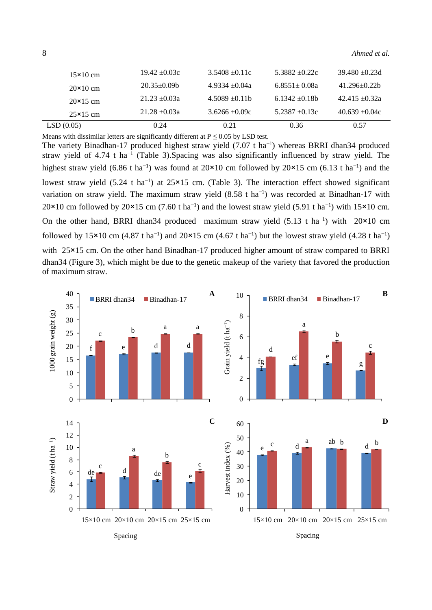| $15\times10$ cm   | $19.42 + 0.03c$ | $3.5408 + 0.11c$ | $5.3882 + 0.22c$ | $39.480 + 0.23d$ |
|-------------------|-----------------|------------------|------------------|------------------|
| $20 \times 10$ cm | $20.35+0.09b$   | $4.9334 + 0.04a$ | $6.8551 + 0.08a$ | $41.296 + 0.22h$ |
| $20\times15$ cm   | $21.23 + 0.03a$ | $4.5089 + 0.11b$ | $6.1342 + 0.18b$ | $42.415 + 0.32a$ |
| $25\times15$ cm   | $21.28 + 0.03a$ | $3.6266 + 0.09c$ | $5.2387 + 0.13c$ | $40.639 + 0.04c$ |
| LSD(0.05)         | 0.24            | 0.21             | 0.36             | 0.57             |

Means with dissimilar letters are significantly different at  $P \le 0.05$  by LSD test.

The variety Binadhan-17 produced highest straw yield (7.07 t ha<sup>-1</sup>) whereas BRRI dhan34 produced straw yield of 4.74 t ha<sup>-1</sup> (Table 3). Spacing was also significantly influenced by straw yield. The highest straw yield  $(6.86 \text{ t ha}^{-1})$  was found at 20×10 cm followed by 20×15 cm  $(6.13 \text{ t ha}^{-1})$  and the lowest straw yield (5.24 t ha<sup>-1</sup>) at 25×15 cm. (Table 3). The interaction effect showed significant variation on straw yield. The maximum straw yield (8.58 t ha<sup>-1</sup>) was recorded at Binadhan-17 with  $20\times10$  cm followed by  $20\times15$  cm (7.60 t ha<sup>-1</sup>) and the lowest straw yield (5.91 t ha<sup>-1</sup>) with  $15\times10$  cm. On the other hand, BRRI dhan34 produced maximum straw yield  $(5.13 \text{ t} \text{ ha}^{-1})$  with 20×10 cm followed by 15×10 cm (4.87 t ha<sup>-1</sup>) and 20×15 cm (4.67 t ha<sup>-1</sup>) but the lowest straw yield (4.28 t ha<sup>-1</sup>) with 25×15 cm. On the other hand Binadhan-17 produced higher amount of straw compared to BRRI dhan34 (Figure 3), which might be due to the genetic makeup of the variety that favored the production of maximum straw.

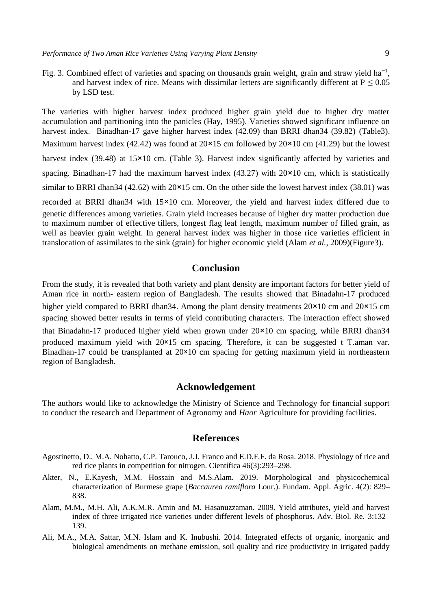Fig. 3. Combined effect of varieties and spacing on thousands grain weight, grain and straw yield ha<sup>-1</sup>, and harvest index of rice. Means with dissimilar letters are significantly different at  $P \le 0.05$ by LSD test.

The varieties with higher harvest index produced higher grain yield due to higher dry matter accumulation and partitioning into the panicles (Hay, 1995). Varieties showed significant influence on harvest index. Binadhan-17 gave higher harvest index (42.09) than BRRI dhan34 (39.82) (Table3). Maximum harvest index (42.42) was found at  $20 \times 15$  cm followed by  $20 \times 10$  cm (41.29) but the lowest harvest index (39.48) at 15×10 cm. (Table 3). Harvest index significantly affected by varieties and spacing. Binadhan-17 had the maximum harvest index  $(43.27)$  with  $20\times10$  cm, which is statistically similar to BRRI dhan34 (42.62) with 20×15 cm. On the other side the lowest harvest index (38.01) was recorded at BRRI dhan34 with 15×10 cm. Moreover, the yield and harvest index differed due to genetic differences among varieties. Grain yield increases because of higher dry matter production due to maximum number of effective tillers, longest flag leaf length, maximum number of filled grain, as well as heavier grain weight. In general harvest index was higher in those rice varieties efficient in translocation of assimilates to the sink (grain) for higher economic yield (Alam *et al.*, 2009)(Figure3).

### **Conclusion**

From the study, it is revealed that both variety and plant density are important factors for better yield of Aman rice in north- eastern region of Bangladesh. The results showed that Binadahn-17 produced higher yield compared to BRRI dhan34. Among the plant density treatments  $20 \times 10$  cm and  $20 \times 15$  cm spacing showed better results in terms of yield contributing characters. The interaction effect showed that Binadahn-17 produced higher yield when grown under 20×10 cm spacing, while BRRI dhan34 produced maximum yield with 20×15 cm spacing. Therefore, it can be suggested t T.aman var. Binadhan-17 could be transplanted at 20×10 cm spacing for getting maximum yield in northeastern region of Bangladesh.

### **Acknowledgement**

The authors would like to acknowledge the Ministry of Science and Technology for financial support to conduct the research and Department of Agronomy and *Haor* Agriculture for providing facilities.

## **References**

- Agostinetto, D., M.A. Nohatto, C.P. Tarouco, J.J. Franco and E.D.F.F. da Rosa. 2018. Physiology of rice and red rice plants in competition for nitrogen. Científica 46(3):293–298.
- Akter, N., E.Kayesh, M.M. Hossain and M.S.Alam. 2019. Morphological and physicochemical characterization of Burmese grape (*Baccaurea ramiflora* Lour.). Fundam. Appl. Agric. 4(2): 829– 838.
- Alam, M.M., M.H. Ali, A.K.M.R. Amin and M. Hasanuzzaman. 2009. Yield attributes, yield and harvest index of three irrigated rice varieties under different levels of phosphorus. Adv. Biol. Re. 3:132– 139.
- Ali, M.A., M.A. Sattar, M.N. Islam and K. Inubushi. 2014. Integrated effects of organic, inorganic and biological amendments on methane emission, soil quality and rice productivity in irrigated paddy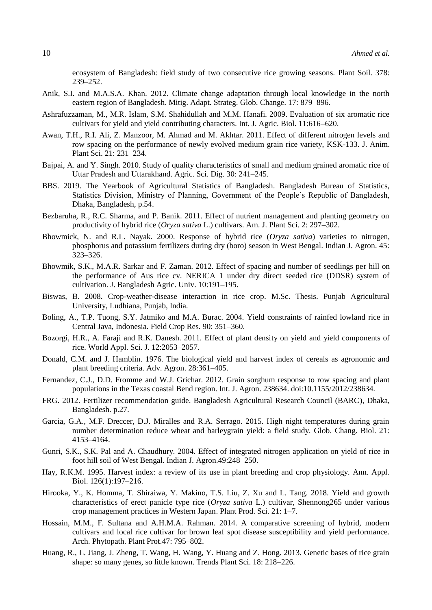ecosystem of Bangladesh: field study of two consecutive rice growing seasons. Plant Soil. 378: 239–252.

- Anik, S.I. and M.A.S.A. Khan. 2012. Climate change adaptation through local knowledge in the north eastern region of Bangladesh. Mitig. Adapt. Strateg. Glob. Change. 17: 879–896.
- Ashrafuzzaman, M., M.R. Islam, S.M. Shahidullah and M.M. Hanafi. 2009. Evaluation of six aromatic rice cultivars for yield and yield contributing characters. Int. J. Agric. Biol. 11:616–620.
- Awan, T.H., R.I. Ali, Z. Manzoor, M. Ahmad and M. Akhtar. 2011. Effect of different nitrogen levels and row spacing on the performance of newly evolved medium grain rice variety, KSK-133. J. Anim. Plant Sci. 21: 231–234.
- Bajpai, A. and Y. Singh. 2010. Study of quality characteristics of small and medium grained aromatic rice of Uttar Pradesh and Uttarakhand. Agric. Sci. Dig. 30: 241–245.
- BBS. 2019. The Yearbook of Agricultural Statistics of Bangladesh. Bangladesh Bureau of Statistics, Statistics Division, Ministry of Planning, Government of the People's Republic of Bangladesh, Dhaka, Bangladesh, p.54.
- Bezbaruha, R., R.C. Sharma, and P. Banik. 2011. Effect of nutrient management and planting geometry on productivity of hybrid rice (*Oryza sativa* L.) cultivars. Am. J. Plant Sci. 2: 297–302.
- Bhowmick, N. and R.L. Nayak. 2000. Response of hybrid rice (*Oryza sativa*) varieties to nitrogen, phosphorus and potassium fertilizers during dry (boro) season in West Bengal. Indian J. Agron. 45: 323–326.
- Bhowmik, S.K., M.A.R. Sarkar and F. Zaman. 2012. Effect of spacing and number of seedlings per hill on the performance of Aus rice cv. NERICA 1 under dry direct seeded rice (DDSR) system of cultivation. J. Bangladesh Agric. Univ. 10:191–195.
- Biswas, B. 2008. Crop-weather-disease interaction in rice crop. M.Sc. Thesis. Punjab Agricultural University, Ludhiana, Punjab, India.
- Boling, A., T.P. Tuong, S.Y. Jatmiko and M.A. Burac. 2004. Yield constraints of rainfed lowland rice in Central Java, Indonesia. Field Crop Res. 90: 351–360.
- Bozorgi, H.R., A. Faraji and R.K. Danesh. 2011. Effect of plant density on yield and yield components of rice. World Appl. Sci. J. 12:2053–2057.
- Donald, C.M. and J. Hamblin. 1976. The biological yield and harvest index of cereals as agronomic and plant breeding criteria. Adv. Agron. 28:361–405.
- Fernandez, C.J., D.D. Fromme and W.J. Grichar. 2012. Grain sorghum response to row spacing and plant populations in the Texas coastal Bend region. Int. J. Agron. 238634. doi:10.1155/2012/238634.
- FRG. 2012. Fertilizer recommendation guide. Bangladesh Agricultural Research Council (BARC), Dhaka, Bangladesh. p.27.
- Garcia, G.A., M.F. Dreccer, D.J. Miralles and R.A. Serrago. 2015. High night temperatures during grain number determination reduce wheat and barleygrain yield: a field study. Glob. Chang. Biol. 21: 4153–4164.
- Gunri, S.K., S.K. Pal and A. Chaudhury. 2004. Effect of integrated nitrogen application on yield of rice in foot hill soil of West Bengal. Indian J. Agron.49:248–250.
- Hay, R.K.M. 1995. Harvest index: a review of its use in plant breeding and crop physiology. Ann. Appl. Biol. 126(1):197–216.
- Hirooka, Y., K. Homma, T. Shiraiwa, Y. Makino, T.S. Liu, Z. Xu and L. Tang. 2018. Yield and growth characteristics of erect panicle type rice (*Oryza sativa* L.) cultivar, Shennong265 under various crop management practices in Western Japan. Plant Prod. Sci. 21: 1–7.
- Hossain, M.M., F. Sultana and A.H.M.A. Rahman. 2014. A comparative screening of hybrid, modern cultivars and local rice cultivar for brown leaf spot disease susceptibility and yield performance. Arch. Phytopath. Plant Prot.47: 795–802.
- Huang, R., L. Jiang, J. Zheng, T. Wang, H. Wang, Y. Huang and Z. Hong. 2013. Genetic bases of rice grain shape: so many genes, so little known. Trends Plant Sci. 18: 218–226.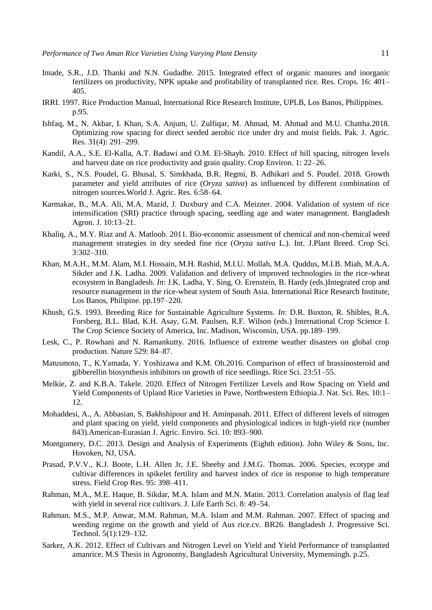- Imade, S.R., J.D. Thanki and N.N. Gudadhe. 2015. Integrated effect of organic manures and inorganic fertilizers on productivity, NPK uptake and profitability of transplanted rice. Res. Crops. 16: 401– 405.
- IRRI. 1997. Rice Production Manual, International Rice Research Institute, UPLB, Los Banos, Philippines. p.95.
- Ishfaq, M., N. Akbar, I. Khan, S.A. Anjum, U. Zulfiqar, M. Ahmad, M. Ahmad and M.U. Chattha.2018. Optimizing row spacing for direct seeded aerobic rice under dry and moist fields. Pak. J. Agric. Res. 31(4): 291–299.
- Kandil, A.A., S.E. El-Kalla, A.T. Badawi and O.M. El-Shayb. 2010. Effect of hill spacing, nitrogen levels and harvest date on rice productivity and grain quality. Crop Environ. 1: 22–26.
- Karki, S., N.S. Poudel, G. Bhusal, S. Simkhada, B.R. Regmi, B. Adhikari and S. Poudel. 2018. Growth parameter and yield attributes of rice (*Oryza sativa*) as influenced by different combination of nitrogen sources.World J. Agric. Res. 6:58–64.
- Karmakar, B., M.A. Ali, M.A. Mazid, J. Duxbury and C.A. Meizner. 2004. Validation of system of rice intensification (SRI) practice through spacing, seedling age and water management. Bangladesh Agron. J. 10:13–21.
- Khaliq, A., M.Y. Riaz and A. Matloob. 2011. Bio-economic assessment of chemical and non-chemical weed management strategies in dry seeded fine rice (*Oryza sativa* L.). Int. J.Plant Breed. Crop Sci. 3:302–310.
- Khan, M.A.H., M.M. Alam, M.I. Hossain, M.H. Rashid, M.I.U. Mollah, M.A. Quddus, M.I.B. Miah, M.A.A. Sikder and J.K. Ladha. 2009. Validation and delivery of improved technologies in the rice-wheat ecosystem in Bangladesh. *In*: J.K. Ladha, Y. Sing, O. Erenstein, B. Hardy (eds.)Integrated crop and resource management in the rice-wheat system of South Asia. International Rice Research Institute, Los Banos, Philipine. pp.197–220.
- Khush, G.S. 1993. Breeding Rice for Sustainable Agriculture Systems. *In*: D.R. Buxton, R. Shibles, R.A. Forsberg, B.L. Blad, K.H. Asay, G.M. Paulsen, R.F. Wilson (eds.) International Crop Science I. The Crop Science Society of America, Inc. Madison, Wisconsin, USA. pp.189–199.
- Lesk, C., P. Rowhani and N. Ramankutty. 2016. Influence of extreme weather disasters on global crop production. Nature 529: 84–87.
- Matusmoto, T., K.Yamada, Y. Yoshizawa and K.M. Oh.2016. Comparison of effect of brassinosteroid and gibberellin biosynthesis inhibitors on growth of rice seedlings. Rice Sci. 23:51–55.
- Melkie, Z. and K.B.A. Takele. 2020. Effect of Nitrogen Fertilizer Levels and Row Spacing on Yield and Yield Components of Upland Rice Varieties in Pawe, Northwestern Ethiopia.J. Nat. Sci. Res. 10:1– 12.
- Mohaddesi, A., A. Abbasian, S. Bakhshipour and H. Aminpanah. 2011. Effect of different levels of nitrogen and plant spacing on yield, yield components and physiological indices in high-yield rice (number 843).American-Eurasian J. Agric. Enviro. Sci. 10: 893–900.
- Montgomery, D.C. 2013. Design and Analysis of Experiments (Eighth edition). John Wiley & Sons, Inc. Hovoken, NJ, USA.
- Prasad, P.V.V., K.J. Boote, L.H. Allen Jr, J.E. Sheehy and J.M.G. Thomas. 2006. Species, ecotype and cultivar differences in spikelet fertility and harvest index of rice in response to high temperature stress. Field Crop Res. 95: 398–411.
- Rahman, M.A., M.E. Haque, B. Sikdar, M.A. Islam and M.N. Matin. 2013. Correlation analysis of flag leaf with yield in several rice cultivars. J. Life Earth Sci. 8: 49–54.
- Rahman, M.S., M.P. Anwar, M.M. Rahman, M.A. Islam and M.M. Rahman. 2007. Effect of spacing and weeding regime on the growth and yield of Aus rice.cv. BR26. Bangladesh J. Progressive Sci. Technol. 5(1):129–132.
- Sarker, A.K. 2012. Effect of Cultivars and Nitrogen Level on Yield and Yield Performance of transplanted amanrice. M.S Thesis in Agronomy, Bangladesh Agricultural University, Mymensingh. p.25.